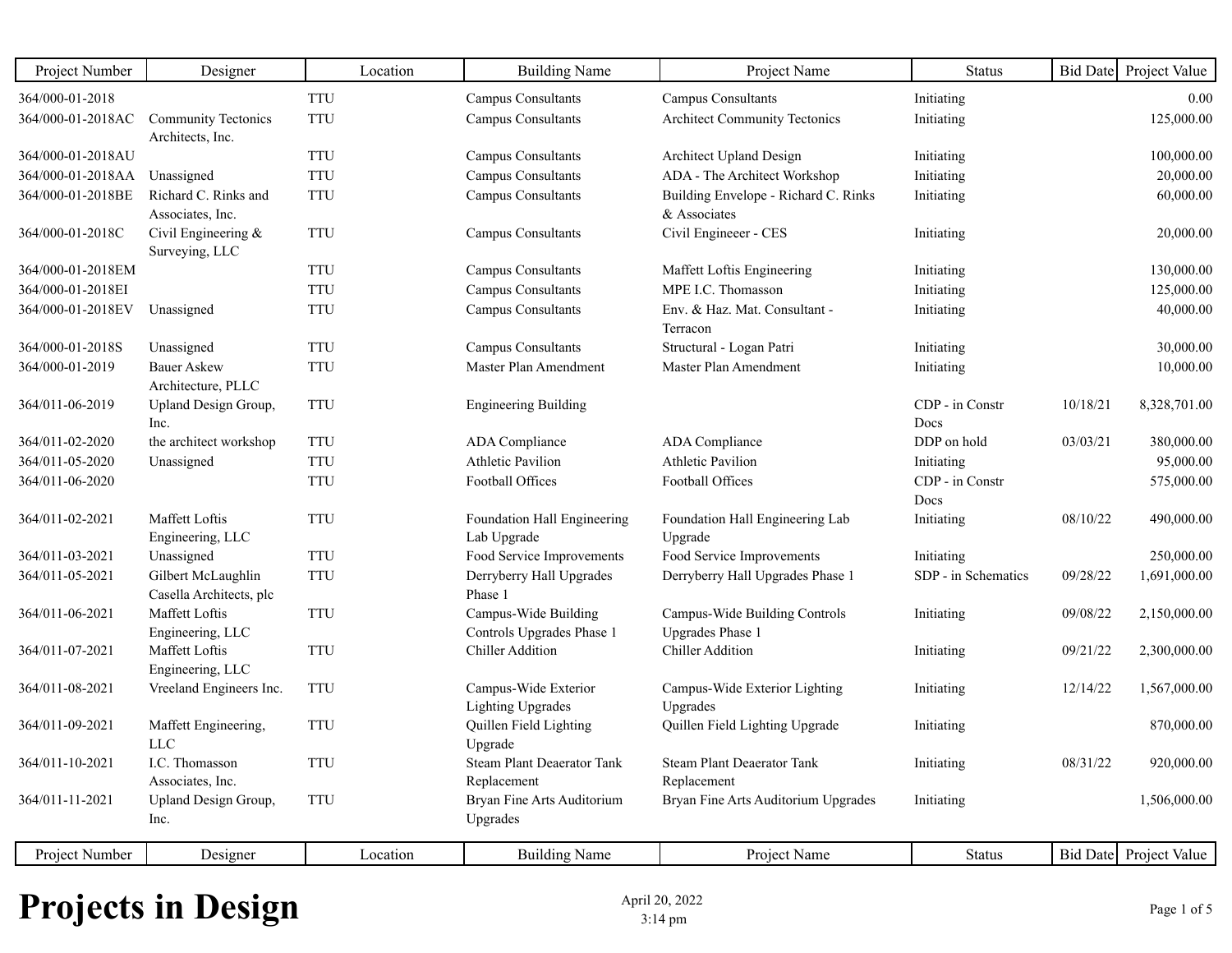| Project Number    | Designer                           | Location   | <b>Building Name</b>                         | Project Name                               | <b>Status</b>       | <b>Bid Date</b> | Project Value          |
|-------------------|------------------------------------|------------|----------------------------------------------|--------------------------------------------|---------------------|-----------------|------------------------|
| 364/000-01-2018   |                                    | <b>TTU</b> | Campus Consultants                           | Campus Consultants                         | Initiating          |                 | 0.00                   |
| 364/000-01-2018AC | <b>Community Tectonics</b>         | <b>TTU</b> | <b>Campus Consultants</b>                    | <b>Architect Community Tectonics</b>       | Initiating          |                 | 125,000.00             |
|                   | Architects, Inc.                   |            |                                              |                                            |                     |                 |                        |
| 364/000-01-2018AU |                                    | <b>TTU</b> | Campus Consultants                           | Architect Upland Design                    | Initiating          |                 | 100,000.00             |
| 364/000-01-2018AA | Unassigned                         | <b>TTU</b> | Campus Consultants                           | ADA - The Architect Workshop               | Initiating          |                 | 20,000.00              |
| 364/000-01-2018BE | Richard C. Rinks and               | <b>TTU</b> | Campus Consultants                           | Building Envelope - Richard C. Rinks       | Initiating          |                 | 60,000.00              |
|                   | Associates, Inc.                   |            |                                              | & Associates                               |                     |                 |                        |
| 364/000-01-2018C  | Civil Engineering $\&$             | <b>TTU</b> | <b>Campus Consultants</b>                    | Civil Engineeer - CES                      | Initiating          |                 | 20,000.00              |
| 364/000-01-2018EM | Surveying, LLC                     | <b>TTU</b> | Campus Consultants                           | Maffett Loftis Engineering                 | Initiating          |                 | 130,000.00             |
| 364/000-01-2018EI |                                    | <b>TTU</b> | <b>Campus Consultants</b>                    | MPE I.C. Thomasson                         | Initiating          |                 | 125,000.00             |
| 364/000-01-2018EV | Unassigned                         | <b>TTU</b> | <b>Campus Consultants</b>                    | Env. & Haz. Mat. Consultant -              | Initiating          |                 | 40,000.00              |
|                   |                                    |            |                                              | Terracon                                   |                     |                 |                        |
| 364/000-01-2018S  | Unassigned                         | <b>TTU</b> | Campus Consultants                           | Structural - Logan Patri                   | Initiating          |                 | 30,000.00              |
| 364/000-01-2019   | <b>Bauer Askew</b>                 | <b>TTU</b> | Master Plan Amendment                        | Master Plan Amendment                      | Initiating          |                 | 10,000.00              |
|                   | Architecture, PLLC                 |            |                                              |                                            |                     |                 |                        |
| 364/011-06-2019   | Upland Design Group,               | <b>TTU</b> | <b>Engineering Building</b>                  |                                            | CDP - in Constr     | 10/18/21        | 8,328,701.00           |
|                   | Inc.                               |            |                                              |                                            | Docs                |                 |                        |
| 364/011-02-2020   | the architect workshop             | <b>TTU</b> | ADA Compliance                               | ADA Compliance                             | DDP on hold         | 03/03/21        | 380,000.00             |
| 364/011-05-2020   | Unassigned                         | <b>TTU</b> | <b>Athletic Pavilion</b>                     | <b>Athletic Pavilion</b>                   | Initiating          |                 | 95,000.00              |
| 364/011-06-2020   |                                    | <b>TTU</b> | Football Offices                             | Football Offices                           | CDP - in Constr     |                 | 575,000.00             |
|                   | Maffett Loftis                     |            |                                              |                                            | Docs                |                 |                        |
| 364/011-02-2021   | Engineering, LLC                   | <b>TTU</b> | Foundation Hall Engineering<br>Lab Upgrade   | Foundation Hall Engineering Lab<br>Upgrade | Initiating          | 08/10/22        | 490,000.00             |
| 364/011-03-2021   | Unassigned                         | <b>TTU</b> | Food Service Improvements                    | Food Service Improvements                  | Initiating          |                 | 250,000.00             |
| 364/011-05-2021   | Gilbert McLaughlin                 | <b>TTU</b> | Derryberry Hall Upgrades                     | Derryberry Hall Upgrades Phase 1           | SDP - in Schematics | 09/28/22        | 1,691,000.00           |
|                   | Casella Architects, plc            |            | Phase 1                                      |                                            |                     |                 |                        |
| 364/011-06-2021   | Maffett Loftis                     | <b>TTU</b> | Campus-Wide Building                         | Campus-Wide Building Controls              | Initiating          | 09/08/22        | 2,150,000.00           |
|                   | Engineering, LLC                   |            | Controls Upgrades Phase 1                    | <b>Upgrades Phase 1</b>                    |                     |                 |                        |
| 364/011-07-2021   | Maffett Loftis                     | <b>TTU</b> | <b>Chiller Addition</b>                      | <b>Chiller Addition</b>                    | Initiating          | 09/21/22        | 2,300,000.00           |
|                   | Engineering, LLC                   |            |                                              |                                            |                     |                 |                        |
| 364/011-08-2021   | Vreeland Engineers Inc.            | <b>TTU</b> | Campus-Wide Exterior                         | Campus-Wide Exterior Lighting              | Initiating          | 12/14/22        | 1,567,000.00           |
|                   |                                    |            | Lighting Upgrades                            | Upgrades                                   |                     |                 |                        |
| 364/011-09-2021   | Maffett Engineering,<br><b>LLC</b> | <b>TTU</b> | Quillen Field Lighting                       | Quillen Field Lighting Upgrade             | Initiating          |                 | 870,000.00             |
| 364/011-10-2021   | I.C. Thomasson                     | <b>TTU</b> | Upgrade<br><b>Steam Plant Deaerator Tank</b> | Steam Plant Deaerator Tank                 | Initiating          | 08/31/22        | 920,000.00             |
|                   | Associates, Inc.                   |            | Replacement                                  | Replacement                                |                     |                 |                        |
| 364/011-11-2021   | Upland Design Group,               | <b>TTU</b> | Bryan Fine Arts Auditorium                   | Bryan Fine Arts Auditorium Upgrades        | Initiating          |                 | 1,506,000.00           |
|                   | Inc.                               |            | Upgrades                                     |                                            |                     |                 |                        |
|                   |                                    |            |                                              |                                            |                     |                 |                        |
| Project Number    | Designer                           | Location   | <b>Building Name</b>                         | Project Name                               | <b>Status</b>       |                 | Bid Date Project Value |

## **Projects in Design** April 20, 2022